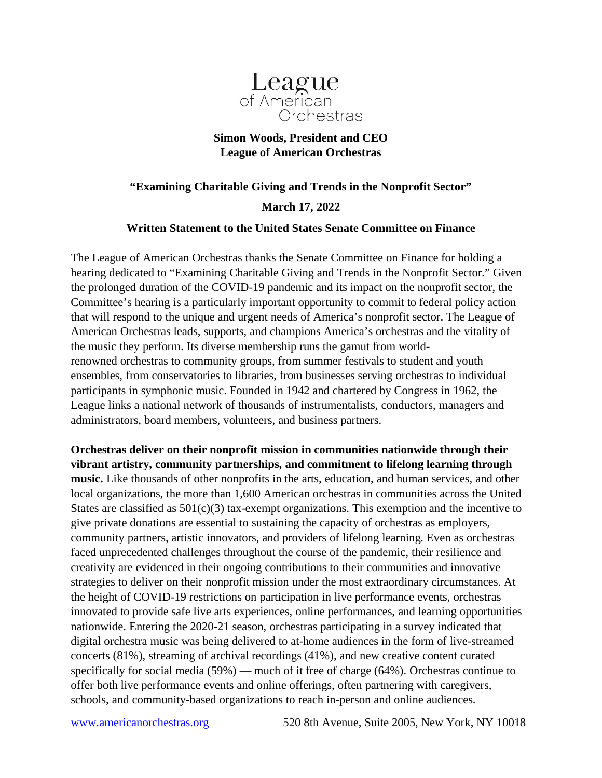

## **Simon Woods, President and CEO League of American Orchestras**

## **"Examining Charitable Giving and Trends in the Nonprofit Sector" March 17, 2022**

## **Written Statement to the United States Senate Committee on Finance**

The League of American Orchestras thanks the Senate Committee on Finance for holding a hearing dedicated to "Examining Charitable Giving and Trends in the Nonprofit Sector." Given the prolonged duration of the COVID-19 pandemic and its impact on the nonprofit sector, the Committee's hearing is a particularly important opportunity to commit to federal policy action that will respond to the unique and urgent needs of America's nonprofit sector. The League of American Orchestras leads, supports, and champions America's orchestras and the vitality of the music they perform. Its diverse membership runs the gamut from worldrenowned orchestras to community groups, from summer festivals to student and youth ensembles, from conservatories to libraries, from businesses serving orchestras to individual participants in symphonic music. Founded in 1942 and chartered by Congress in 1962, the League links a national network of thousands of instrumentalists, conductors, managers and administrators, board members, volunteers, and business partners.

**Orchestras deliver on their nonprofit mission in communities nationwide through their vibrant artistry, community partnerships, and commitment to lifelong learning through music.** Like thousands of other nonprofits in the arts, education, and human services, and other local organizations, the more than 1,600 American orchestras in communities across the United States are classified as  $501(c)(3)$  tax-exempt organizations. This exemption and the incentive to give private donations are essential to sustaining the capacity of orchestras as employers, community partners, artistic innovators, and providers of lifelong learning. Even as orchestras faced unprecedented challenges throughout the course of the pandemic, their resilience and creativity are evidenced in their ongoing contributions to their communities and innovative strategies to deliver on their nonprofit mission under the most extraordinary circumstances. At the height of COVID-19 restrictions on participation in live performance events, orchestras innovated to provide safe live arts experiences, online performances, and learning opportunities nationwide. Entering the 2020-21 season, orchestras participating in a survey indicated that digital orchestra music was being delivered to at-home audiences in the form of live-streamed concerts (81%), streaming of archival recordings (41%), and new creative content curated specifically for social media (59%) — much of it free of charge (64%). Orchestras continue to offer both live performance events and online offerings, often partnering with caregivers, schools, and community-based organizations to reach in-person and online audiences.

[www.americanorchestras.org](http://www.americanorchestras.org/) 520 8th Avenue, Suite 2005, New York, NY 10018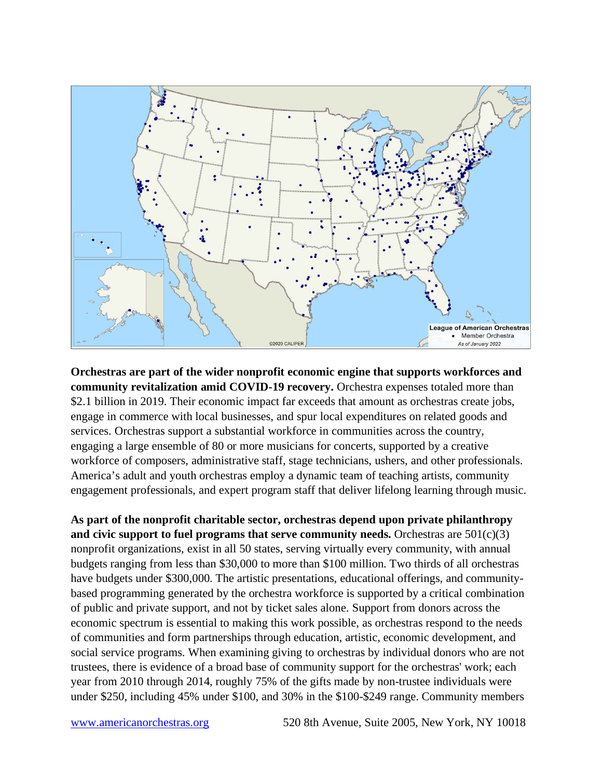

**Orchestras are part of the wider nonprofit economic engine that supports workforces and community revitalization amid COVID-19 recovery.** Orchestra expenses totaled more than \$2.1 billion in 2019. Their economic impact far exceeds that amount as orchestras create jobs, engage in commerce with local businesses, and spur local expenditures on related goods and services. Orchestras support a substantial workforce in communities across the country, engaging a large ensemble of 80 or more musicians for concerts, supported by a creative workforce of composers, administrative staff, stage technicians, ushers, and other professionals. America's adult and youth orchestras employ a dynamic team of teaching artists, community engagement professionals, and expert program staff that deliver lifelong learning through music.

**As part of the nonprofit charitable sector, orchestras depend upon private philanthropy and civic support to fuel programs that serve community needs.** Orchestras are 501(c)(3) nonprofit organizations, exist in all 50 states, serving virtually every community, with annual budgets ranging from less than \$30,000 to more than \$100 million. Two thirds of all orchestras have budgets under \$300,000. The artistic presentations, educational offerings, and communitybased programming generated by the orchestra workforce is supported by a critical combination of public and private support, and not by ticket sales alone. Support from donors across the economic spectrum is essential to making this work possible, as orchestras respond to the needs of communities and form partnerships through education, artistic, economic development, and social service programs. When examining giving to orchestras by individual donors who are not trustees, there is evidence of a broad base of community support for the orchestras' work; each year from 2010 through 2014, roughly 75% of the gifts made by non-trustee individuals were under \$250, including 45% under \$100, and 30% in the \$100-\$249 range. Community members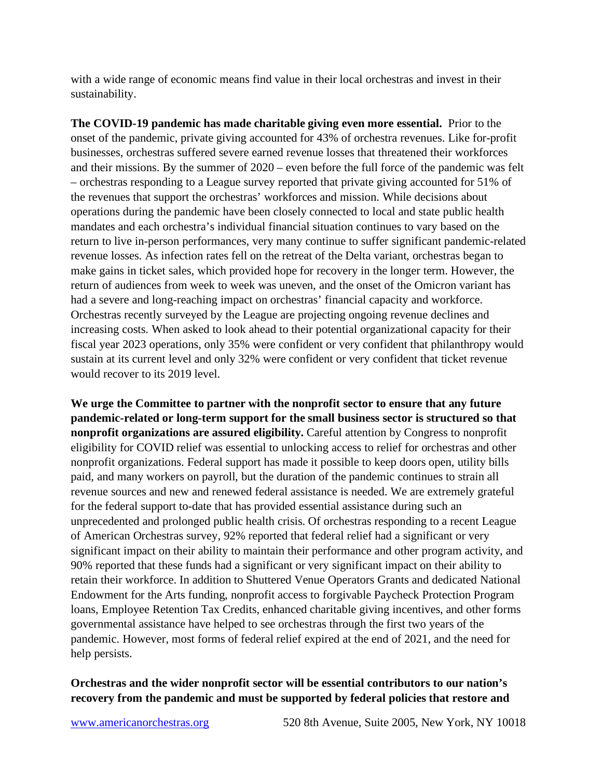with a wide range of economic means find value in their local orchestras and invest in their sustainability.

**The COVID-19 pandemic has made charitable giving even more essential.** Prior to the onset of the pandemic, private giving accounted for 43% of orchestra revenues. Like for-profit businesses, orchestras suffered severe earned revenue losses that threatened their workforces and their missions. By the summer of 2020 – even before the full force of the pandemic was felt – orchestras responding to a League survey reported that private giving accounted for 51% of the revenues that support the orchestras' workforces and mission. While decisions about operations during the pandemic have been closely connected to local and state public health mandates and each orchestra's individual financial situation continues to vary based on the return to live in-person performances, very many continue to suffer significant pandemic-related revenue losses. As infection rates fell on the retreat of the Delta variant, orchestras began to make gains in ticket sales, which provided hope for recovery in the longer term. However, the return of audiences from week to week was uneven, and the onset of the Omicron variant has had a severe and long-reaching impact on orchestras' financial capacity and workforce. Orchestras recently surveyed by the League are projecting ongoing revenue declines and increasing costs. When asked to look ahead to their potential organizational capacity for their fiscal year 2023 operations, only 35% were confident or very confident that philanthropy would sustain at its current level and only 32% were confident or very confident that ticket revenue would recover to its 2019 level.

**We urge the Committee to partner with the nonprofit sector to ensure that any future pandemic-related or long-term support for the small business sector is structured so that nonprofit organizations are assured eligibility.** Careful attention by Congress to nonprofit eligibility for COVID relief was essential to unlocking access to relief for orchestras and other nonprofit organizations. Federal support has made it possible to keep doors open, utility bills paid, and many workers on payroll, but the duration of the pandemic continues to strain all revenue sources and new and renewed federal assistance is needed. We are extremely grateful for the federal support to-date that has provided essential assistance during such an unprecedented and prolonged public health crisis. Of orchestras responding to a recent League of American Orchestras survey, 92% reported that federal relief had a significant or very significant impact on their ability to maintain their performance and other program activity, and 90% reported that these funds had a significant or very significant impact on their ability to retain their workforce. In addition to Shuttered Venue Operators Grants and dedicated National Endowment for the Arts funding, nonprofit access to forgivable Paycheck Protection Program loans, Employee Retention Tax Credits, enhanced charitable giving incentives, and other forms governmental assistance have helped to see orchestras through the first two years of the pandemic. However, most forms of federal relief expired at the end of 2021, and the need for help persists.

## **Orchestras and the wider nonprofit sector will be essential contributors to our nation's recovery from the pandemic and must be supported by federal policies that restore and**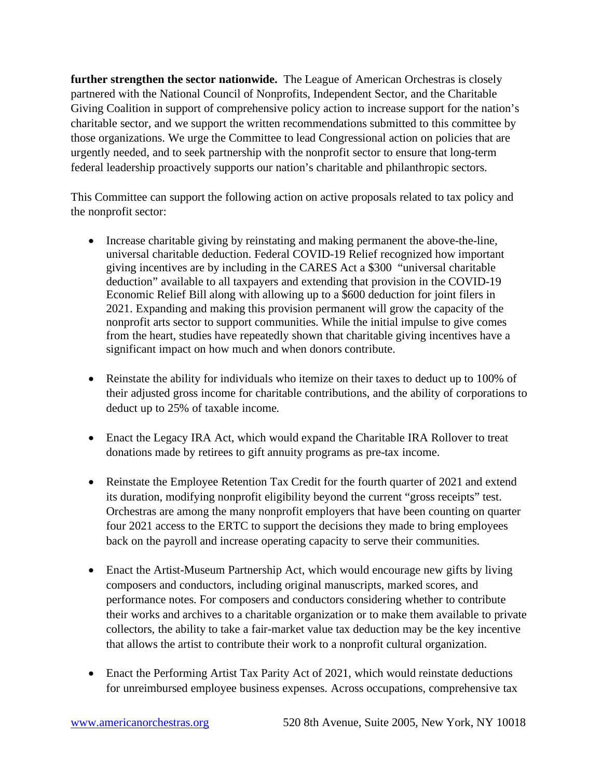**further strengthen the sector nationwide.** The League of American Orchestras is closely partnered with the National Council of Nonprofits, Independent Sector, and the Charitable Giving Coalition in support of comprehensive policy action to increase support for the nation's charitable sector, and we support the written recommendations submitted to this committee by those organizations. We urge the Committee to lead Congressional action on policies that are urgently needed, and to seek partnership with the nonprofit sector to ensure that long-term federal leadership proactively supports our nation's charitable and philanthropic sectors.

This Committee can support the following action on active proposals related to tax policy and the nonprofit sector:

- Increase charitable giving by reinstating and making permanent the above-the-line, universal charitable deduction. Federal COVID-19 Relief recognized how important giving incentives are by including in the CARES Act a \$300 "universal charitable deduction" available to all taxpayers and extending that provision in the COVID-19 Economic Relief Bill along with allowing up to a \$600 deduction for joint filers in 2021. Expanding and making this provision permanent will grow the capacity of the nonprofit arts sector to support communities. While the initial impulse to give comes from the heart, studies have repeatedly shown that charitable giving incentives have a significant impact on how much and when donors contribute.
- Reinstate the ability for individuals who itemize on their taxes to deduct up to 100% of their adjusted gross income for charitable contributions, and the ability of corporations to deduct up to 25% of taxable income.
- Enact the Legacy IRA Act, which would expand the Charitable IRA Rollover to treat donations made by retirees to gift annuity programs as pre-tax income.
- Reinstate the Employee Retention Tax Credit for the fourth quarter of 2021 and extend its duration, modifying nonprofit eligibility beyond the current "gross receipts" test. Orchestras are among the many nonprofit employers that have been counting on quarter four 2021 access to the ERTC to support the decisions they made to bring employees back on the payroll and increase operating capacity to serve their communities.
- Enact the Artist-Museum Partnership Act, which would encourage new gifts by living composers and conductors, including original manuscripts, marked scores, and performance notes. For composers and conductors considering whether to contribute their works and archives to a charitable organization or to make them available to private collectors, the ability to take a fair-market value tax deduction may be the key incentive that allows the artist to contribute their work to a nonprofit cultural organization.
- Enact the Performing Artist Tax Parity Act of 2021, which would reinstate deductions for unreimbursed employee business expenses. Across occupations, comprehensive tax